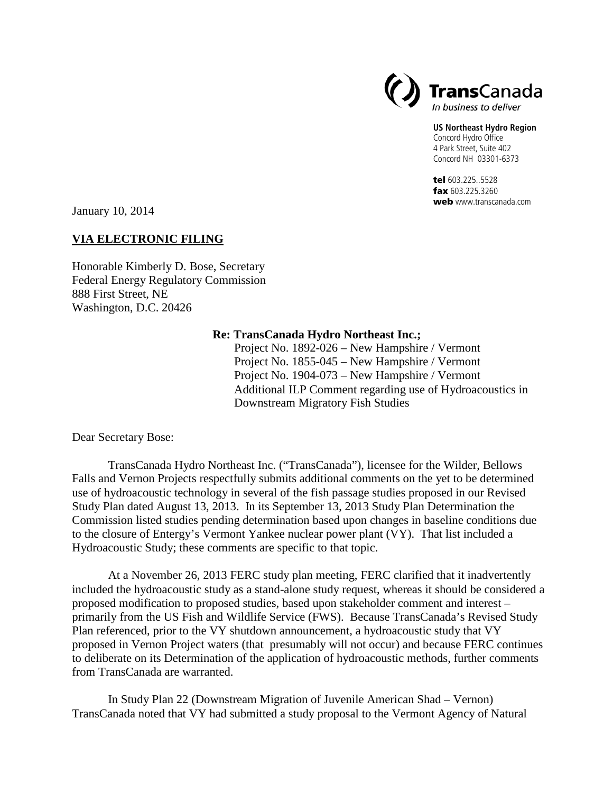

## **US Northeast Hydro Region**

Concord Hydro Office 4 Park Street, Suite 402 Concord NH 03301-6373

tel 603.225..5528 fax 603.225.3260 web www.transcanada.com

January 10, 2014

## **VIA ELECTRONIC FILING**

Honorable Kimberly D. Bose, Secretary Federal Energy Regulatory Commission 888 First Street, NE Washington, D.C. 20426

## **Re: TransCanada Hydro Northeast Inc.;**

Project No. 1892-026 – New Hampshire / Vermont Project No. 1855-045 – New Hampshire / Vermont Project No. 1904-073 – New Hampshire / Vermont Additional ILP Comment regarding use of Hydroacoustics in Downstream Migratory Fish Studies

Dear Secretary Bose:

TransCanada Hydro Northeast Inc. ("TransCanada"), licensee for the Wilder, Bellows Falls and Vernon Projects respectfully submits additional comments on the yet to be determined use of hydroacoustic technology in several of the fish passage studies proposed in our Revised Study Plan dated August 13, 2013. In its September 13, 2013 Study Plan Determination the Commission listed studies pending determination based upon changes in baseline conditions due to the closure of Entergy's Vermont Yankee nuclear power plant (VY). That list included a Hydroacoustic Study; these comments are specific to that topic.

At a November 26, 2013 FERC study plan meeting, FERC clarified that it inadvertently included the hydroacoustic study as a stand-alone study request, whereas it should be considered a proposed modification to proposed studies, based upon stakeholder comment and interest – primarily from the US Fish and Wildlife Service (FWS). Because TransCanada's Revised Study Plan referenced, prior to the VY shutdown announcement, a hydroacoustic study that VY proposed in Vernon Project waters (that presumably will not occur) and because FERC continues to deliberate on its Determination of the application of hydroacoustic methods, further comments from TransCanada are warranted.

In Study Plan 22 (Downstream Migration of Juvenile American Shad – Vernon) TransCanada noted that VY had submitted a study proposal to the Vermont Agency of Natural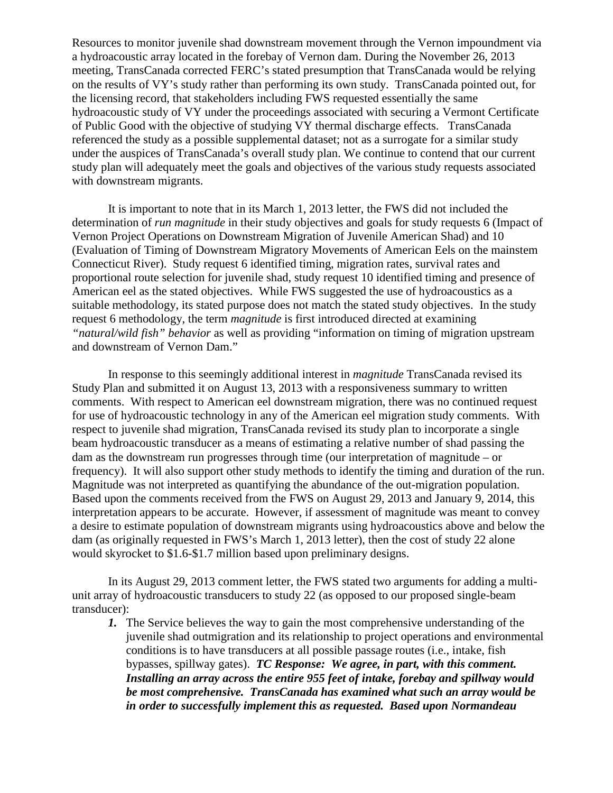Resources to monitor juvenile shad downstream movement through the Vernon impoundment via a hydroacoustic array located in the forebay of Vernon dam. During the November 26, 2013 meeting, TransCanada corrected FERC's stated presumption that TransCanada would be relying on the results of VY's study rather than performing its own study. TransCanada pointed out, for the licensing record, that stakeholders including FWS requested essentially the same hydroacoustic study of VY under the proceedings associated with securing a Vermont Certificate of Public Good with the objective of studying VY thermal discharge effects. TransCanada referenced the study as a possible supplemental dataset; not as a surrogate for a similar study under the auspices of TransCanada's overall study plan. We continue to contend that our current study plan will adequately meet the goals and objectives of the various study requests associated with downstream migrants.

It is important to note that in its March 1, 2013 letter, the FWS did not included the determination of *run magnitude* in their study objectives and goals for study requests 6 (Impact of Vernon Project Operations on Downstream Migration of Juvenile American Shad) and 10 (Evaluation of Timing of Downstream Migratory Movements of American Eels on the mainstem Connecticut River). Study request 6 identified timing, migration rates, survival rates and proportional route selection for juvenile shad, study request 10 identified timing and presence of American eel as the stated objectives. While FWS suggested the use of hydroacoustics as a suitable methodology, its stated purpose does not match the stated study objectives. In the study request 6 methodology, the term *magnitude* is first introduced directed at examining *"natural/wild fish" behavior* as well as providing "information on timing of migration upstream and downstream of Vernon Dam."

In response to this seemingly additional interest in *magnitude* TransCanada revised its Study Plan and submitted it on August 13, 2013 with a responsiveness summary to written comments. With respect to American eel downstream migration, there was no continued request for use of hydroacoustic technology in any of the American eel migration study comments. With respect to juvenile shad migration, TransCanada revised its study plan to incorporate a single beam hydroacoustic transducer as a means of estimating a relative number of shad passing the dam as the downstream run progresses through time (our interpretation of magnitude – or frequency). It will also support other study methods to identify the timing and duration of the run. Magnitude was not interpreted as quantifying the abundance of the out-migration population. Based upon the comments received from the FWS on August 29, 2013 and January 9, 2014, this interpretation appears to be accurate. However, if assessment of magnitude was meant to convey a desire to estimate population of downstream migrants using hydroacoustics above and below the dam (as originally requested in FWS's March 1, 2013 letter), then the cost of study 22 alone would skyrocket to \$1.6-\$1.7 million based upon preliminary designs.

In its August 29, 2013 comment letter, the FWS stated two arguments for adding a multiunit array of hydroacoustic transducers to study 22 (as opposed to our proposed single-beam transducer):

*1.* The Service believes the way to gain the most comprehensive understanding of the juvenile shad outmigration and its relationship to project operations and environmental conditions is to have transducers at all possible passage routes (i.e., intake, fish bypasses, spillway gates). *TC Response: We agree, in part, with this comment. Installing an array across the entire 955 feet of intake, forebay and spillway would be most comprehensive. TransCanada has examined what such an array would be in order to successfully implement this as requested. Based upon Normandeau*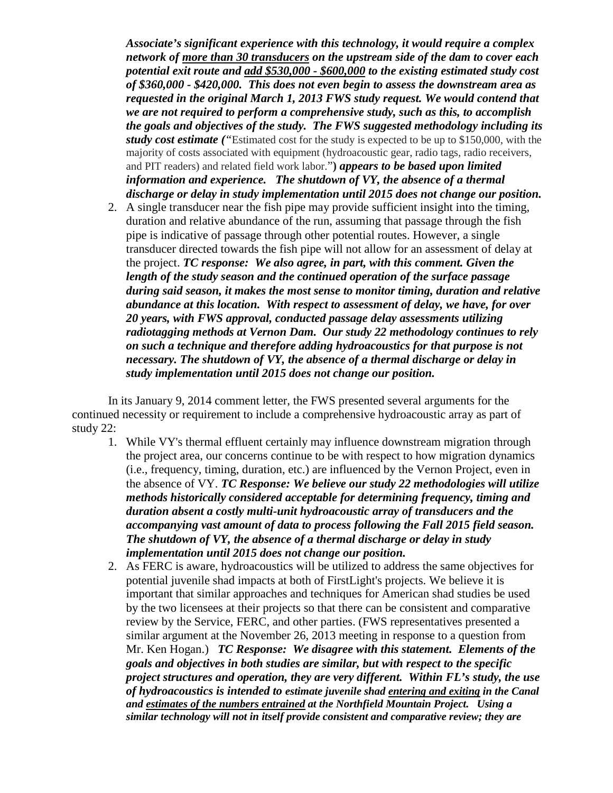*Associate's significant experience with this technology, it would require a complex network of more than 30 transducers on the upstream side of the dam to cover each potential exit route and add \$530,000 - \$600,000 to the existing estimated study cost of \$360,000 - \$420,000. This does not even begin to assess the downstream area as requested in the original March 1, 2013 FWS study request. We would contend that we are not required to perform a comprehensive study, such as this, to accomplish the goals and objectives of the study. The FWS suggested methodology including its study cost estimate ("*Estimated cost for the study is expected to be up to \$150,000, with the majority of costs associated with equipment (hydroacoustic gear, radio tags, radio receivers, and PIT readers) and related field work labor."**)** *appears to be based upon limited information and experience. The shutdown of VY, the absence of a thermal discharge or delay in study implementation until 2015 does not change our position.*

2. A single transducer near the fish pipe may provide sufficient insight into the timing, duration and relative abundance of the run, assuming that passage through the fish pipe is indicative of passage through other potential routes. However, a single transducer directed towards the fish pipe will not allow for an assessment of delay at the project. *TC response: We also agree, in part, with this comment. Given the length of the study season and the continued operation of the surface passage during said season, it makes the most sense to monitor timing, duration and relative abundance at this location. With respect to assessment of delay, we have, for over 20 years, with FWS approval, conducted passage delay assessments utilizing radiotagging methods at Vernon Dam. Our study 22 methodology continues to rely on such a technique and therefore adding hydroacoustics for that purpose is not necessary. The shutdown of VY, the absence of a thermal discharge or delay in study implementation until 2015 does not change our position.*

In its January 9, 2014 comment letter, the FWS presented several arguments for the continued necessity or requirement to include a comprehensive hydroacoustic array as part of study 22:

- 1. While VY's thermal effluent certainly may influence downstream migration through the project area, our concerns continue to be with respect to how migration dynamics (i.e., frequency, timing, duration, etc.) are influenced by the Vernon Project, even in the absence of VY. *TC Response: We believe our study 22 methodologies will utilize methods historically considered acceptable for determining frequency, timing and duration absent a costly multi-unit hydroacoustic array of transducers and the accompanying vast amount of data to process following the Fall 2015 field season. The shutdown of VY, the absence of a thermal discharge or delay in study implementation until 2015 does not change our position.*
- 2. As FERC is aware, hydroacoustics will be utilized to address the same objectives for potential juvenile shad impacts at both of FirstLight's projects. We believe it is important that similar approaches and techniques for American shad studies be used by the two licensees at their projects so that there can be consistent and comparative review by the Service, FERC, and other parties. (FWS representatives presented a similar argument at the November 26, 2013 meeting in response to a question from Mr. Ken Hogan.) *TC Response: We disagree with this statement. Elements of the goals and objectives in both studies are similar, but with respect to the specific project structures and operation, they are very different. Within FL's study, the use of hydroacoustics is intended to estimate juvenile shad entering and exiting in the Canal and estimates of the numbers entrained at the Northfield Mountain Project. Using a similar technology will not in itself provide consistent and comparative review; they are*